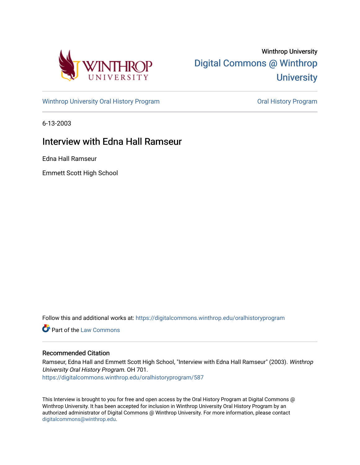

Winthrop University [Digital Commons @ Winthrop](https://digitalcommons.winthrop.edu/)  **University** 

[Winthrop University Oral History Program](https://digitalcommons.winthrop.edu/oralhistoryprogram) **Constructs** Oral History Program

6-13-2003

## Interview with Edna Hall Ramseur

Edna Hall Ramseur

Emmett Scott High School

Follow this and additional works at: [https://digitalcommons.winthrop.edu/oralhistoryprogram](https://digitalcommons.winthrop.edu/oralhistoryprogram?utm_source=digitalcommons.winthrop.edu%2Foralhistoryprogram%2F587&utm_medium=PDF&utm_campaign=PDFCoverPages) 

**C** Part of the [Law Commons](http://network.bepress.com/hgg/discipline/578?utm_source=digitalcommons.winthrop.edu%2Foralhistoryprogram%2F587&utm_medium=PDF&utm_campaign=PDFCoverPages)

## Recommended Citation

Ramseur, Edna Hall and Emmett Scott High School, "Interview with Edna Hall Ramseur" (2003). Winthrop University Oral History Program. OH 701. [https://digitalcommons.winthrop.edu/oralhistoryprogram/587](https://digitalcommons.winthrop.edu/oralhistoryprogram/587?utm_source=digitalcommons.winthrop.edu%2Foralhistoryprogram%2F587&utm_medium=PDF&utm_campaign=PDFCoverPages) 

This Interview is brought to you for free and open access by the Oral History Program at Digital Commons @ Winthrop University. It has been accepted for inclusion in Winthrop University Oral History Program by an authorized administrator of Digital Commons @ Winthrop University. For more information, please contact [digitalcommons@winthrop.edu](mailto:digitalcommons@winthrop.edu).